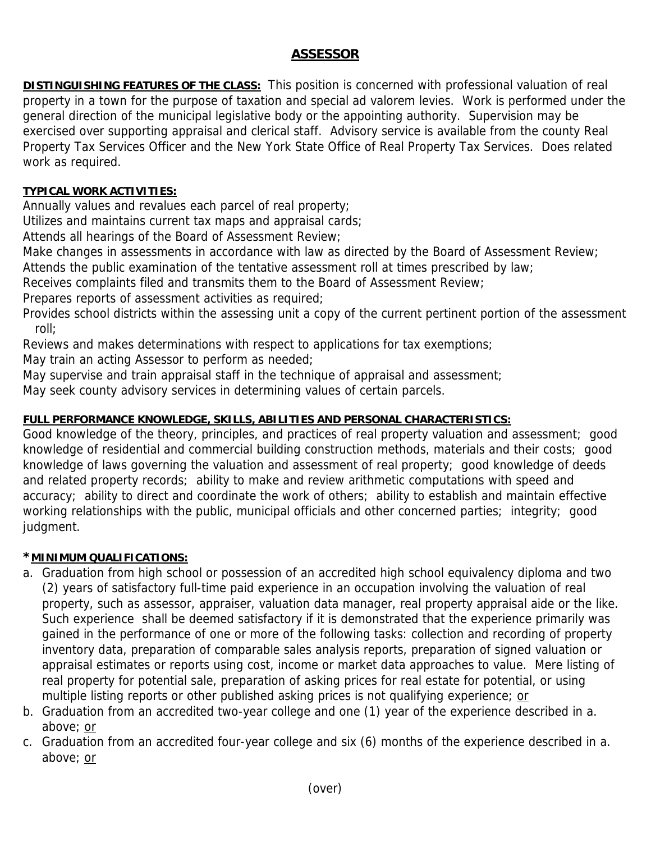# **ASSESSOR**

**DISTINGUISHING FEATURES OF THE CLASS:** This position is concerned with professional valuation of real property in a town for the purpose of taxation and special ad valorem levies. Work is performed under the general direction of the municipal legislative body or the appointing authority. Supervision may be exercised over supporting appraisal and clerical staff. Advisory service is available from the county Real Property Tax Services Officer and the New York State Office of Real Property Tax Services. Does related work as required.

## **TYPICAL WORK ACTIVITIES:**

Annually values and revalues each parcel of real property;

Utilizes and maintains current tax maps and appraisal cards;

Attends all hearings of the Board of Assessment Review;

Make changes in assessments in accordance with law as directed by the Board of Assessment Review;

Attends the public examination of the tentative assessment roll at times prescribed by law;

Receives complaints filed and transmits them to the Board of Assessment Review;

Prepares reports of assessment activities as required;

Provides school districts within the assessing unit a copy of the current pertinent portion of the assessment roll;

Reviews and makes determinations with respect to applications for tax exemptions;

May train an acting Assessor to perform as needed;

May supervise and train appraisal staff in the technique of appraisal and assessment;

May seek county advisory services in determining values of certain parcels.

## **FULL PERFORMANCE KNOWLEDGE, SKILLS, ABILITIES AND PERSONAL CHARACTERISTICS:**

Good knowledge of the theory, principles, and practices of real property valuation and assessment; good knowledge of residential and commercial building construction methods, materials and their costs; good knowledge of laws governing the valuation and assessment of real property; good knowledge of deeds and related property records; ability to make and review arithmetic computations with speed and accuracy; ability to direct and coordinate the work of others; ability to establish and maintain effective working relationships with the public, municipal officials and other concerned parties; integrity; good judgment.

#### **\*MINIMUM QUALIFICATIONS:**

- a. Graduation from high school or possession of an accredited high school equivalency diploma and two (2) years of satisfactory full-time paid experience in an occupation involving the valuation of real property, such as assessor, appraiser, valuation data manager, real property appraisal aide or the like. Such experience shall be deemed satisfactory if it is demonstrated that the experience primarily was gained in the performance of one or more of the following tasks: collection and recording of property inventory data, preparation of comparable sales analysis reports, preparation of signed valuation or appraisal estimates or reports using cost, income or market data approaches to value. Mere listing of real property for potential sale, preparation of asking prices for real estate for potential, or using multiple listing reports or other published asking prices is not qualifying experience; or
- b. Graduation from an accredited two-year college and one (1) year of the experience described in a. above; or
- c. Graduation from an accredited four-year college and six (6) months of the experience described in a. above; or